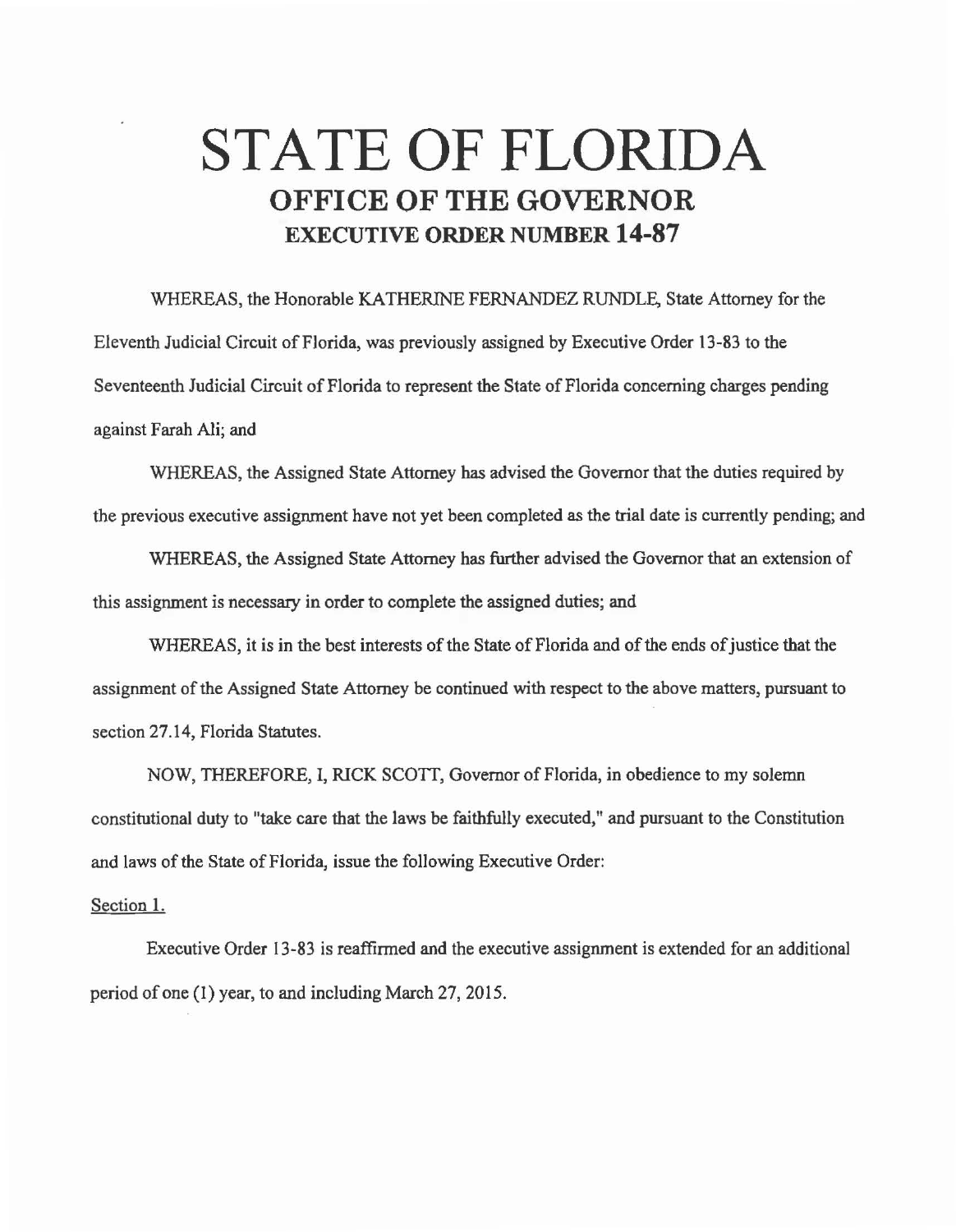## **STATE OF FLORIDA OFFICE OF THE GOVERNOR EXECUTIVE ORDER NUMBER 14-87**

WHEREAS, the Honorable KATHERINE FERNANDEZ RUNDLE, State Attorney for the Eleventh Judicial Circuit ofFJorida, was previously assigned by Executive Order 13-83 to the Seventeenth Judicial Circuit of Florida to represent the State of Florida concerning charges pending against Farah Ali; and

WHEREAS, the Assigned State Attorney has advised the Governor that the duties required by the previous executive assignment have not yet been completed as the trial date is currently pending; and

WHEREAS, the Assigned State Attorney has further advised the Governor that an extension of this assignment is necessary in order to complete the assigned duties; and

WHEREAS, it is in the best interests of the State of Florida and of the ends of justice that the assignment of the Assigned State Attorney be continued with respect to the above matters, pursuant to section 27.14, Florida Statutes.

NOW, THEREFORE, I, RICK SCOTT, Governor of Florida, in obedience to my solemn constitutional duty to "take care that the laws be faithfully executed," and pursuant to the Constitution and laws of the State of Florida, issue the following Executive Order:

## Section 1.

Executive Order 13-83 is reaffirmed and the executive assignment is extended for an additional period of one (1) year, to and including March 27, 2015.